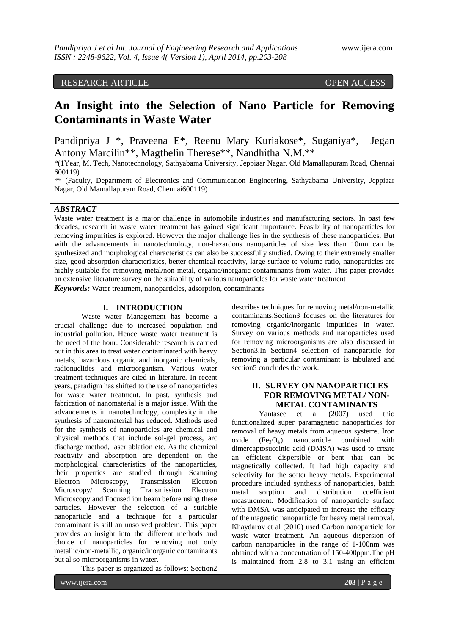## RESEARCH ARTICLE OPEN ACCESS

# **An Insight into the Selection of Nano Particle for Removing Contaminants in Waste Water**

Pandipriya J \*, Praveena E\*, Reenu Mary Kuriakose\*, Suganiya\*, Jegan Antony Marcilin\*\*, Magthelin Therese\*\*, Nandhitha N.M.\*\*

\*(1Year, M. Tech, Nanotechnology, Sathyabama University, Jeppiaar Nagar, Old Mamallapuram Road, Chennai 600119)

\*\* (Faculty, Department of Electronics and Communication Engineering, Sathyabama University, Jeppiaar Nagar, Old Mamallapuram Road, Chennai600119)

## *ABSTRACT*

Waste water treatment is a major challenge in automobile industries and manufacturing sectors. In past few decades, research in waste water treatment has gained significant importance. Feasibility of nanoparticles for removing impurities is explored. However the major challenge lies in the synthesis of these nanoparticles. But with the advancements in nanotechnology, non-hazardous nanoparticles of size less than 10nm can be synthesized and morphological characteristics can also be successfully studied. Owing to their extremely smaller size, good absorption characteristics, better chemical reactivity, large surface to volume ratio, nanoparticles are highly suitable for removing metal/non-metal, organic/inorganic contaminants from water. This paper provides an extensive literature survey on the suitability of various nanoparticles for waste water treatment

*Keywords:* Water treatment, nanoparticles, adsorption, contaminants

## **I. INTRODUCTION**

Waste water Management has become a crucial challenge due to increased population and industrial pollution. Hence waste water treatment is the need of the hour. Considerable research is carried out in this area to treat water contaminated with heavy metals, hazardous organic and inorganic chemicals, radionuclides and microorganism. Various water treatment techniques are cited in literature. In recent years, paradigm has shifted to the use of nanoparticles for waste water treatment. In past, synthesis and fabrication of nanomaterial is a major issue. With the advancements in nanotechnology, complexity in the synthesis of nanomaterial has reduced. Methods used for the synthesis of nanoparticles are chemical and physical methods that include sol-gel process, arc discharge method, laser ablation etc. As the chemical reactivity and absorption are dependent on the morphological characteristics of the nanoparticles, their properties are studied through Scanning Electron Microscopy, Transmission Electron Microscopy/ Scanning Transmission Electron Microscopy and Focused ion beam before using these particles. However the selection of a suitable nanoparticle and a technique for a particular contaminant is still an unsolved problem. This paper provides an insight into the different methods and choice of nanoparticles for removing not only metallic/non-metallic, organic/inorganic contaminants but al so microorganisms in water.

This paper is organized as follows: Section2

describes techniques for removing metal/non-metallic contaminants.Section3 focuses on the literatures for removing organic/inorganic impurities in water. Survey on various methods and nanoparticles used for removing microorganisms are also discussed in Section3.In Section4 selection of nanoparticle for removing a particular contaminant is tabulated and section5 concludes the work.

## **II. SURVEY ON NANOPARTICLES FOR REMOVING METAL/ NON-METAL CONTAMINANTS**

Yantasee et al (2007) used thio functionalized super paramagnetic nanoparticles for removal of heavy metals from aqueous systems. Iron oxide  $(Fe<sub>3</sub>O<sub>4</sub>)$  nanoparticle combined with dimercaptosuccinic acid (DMSA) was used to create an efficient dispersible or bent that can be magnetically collected. It had high capacity and selectivity for the softer heavy metals. Experimental procedure included synthesis of nanoparticles, batch metal sorption and distribution coefficient measurement. Modification of nanoparticle surface with DMSA was anticipated to increase the efficacy of the magnetic nanoparticle for heavy metal removal. Khaydarov et al (2010) used Carbon nanoparticle for waste water treatment. An aqueous dispersion of carbon nanoparticles in the range of 1-100nm was obtained with a concentration of 150-400ppm.The pH is maintained from 2.8 to 3.1 using an efficient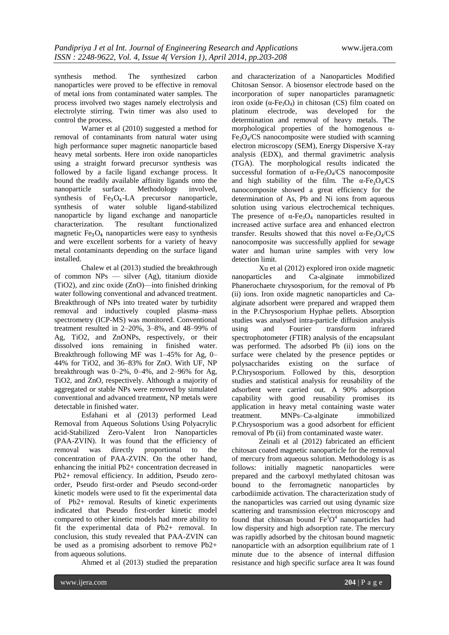synthesis method. The synthesized carbon nanoparticles were proved to be effective in removal of metal ions from contaminated water samples. The process involved two stages namely electrolysis and electrolyte stirring. Twin timer was also used to control the process.

Warner et al (2010) suggested a method for removal of contaminants from natural water using high performance super magnetic nanoparticle based heavy metal sorbents. Here iron oxide nanoparticles using a straight forward precursor synthesis was followed by a facile ligand exchange process. It bound the readily available affinity ligands onto the nanoparticle surface. Methodology involved, synthesis of  $Fe<sub>3</sub>O<sub>4</sub>-LA$  precursor nanoparticle, synthesis of water soluble ligand-stabilized nanoparticle by ligand exchange and nanoparticle characterization. The resultant functionalized magnetic  $Fe<sub>3</sub>O<sub>4</sub>$  nanoparticles were easy to synthesis and were excellent sorbents for a variety of heavy metal contaminants depending on the surface ligand installed.

Chalew et al (2013) studied the breakthrough of common NPs — silver (Ag), titanium dioxide (TiO2), and zinc oxide (ZnO)—into finished drinking water following conventional and advanced treatment. Breakthrough of NPs into treated water by turbidity removal and inductively coupled plasma–mass spectrometry (ICP-MS) was monitored. Conventional treatment resulted in 2–20%, 3–8%, and 48–99% of Ag, TiO2, and ZnONPs, respectively, or their dissolved ions remaining in finished water. Breakthrough following MF was 1–45% for Ag, 0– 44% for TiO2, and 36–83% for ZnO. With UF, NP breakthrough was  $0-2\%$ ,  $0-4\%$ , and  $2-96\%$  for Ag, TiO2, and ZnO, respectively. Although a majority of aggregated or stable NPs were removed by simulated conventional and advanced treatment, NP metals were detectable in finished water.

Esfahani et al (2013) performed Lead Removal from Aqueous Solutions Using Polyacrylic acid-Stabilized Zero-Valent Iron Nanoparticles (PAA-ZVIN). It was found that the efficiency of removal was directly proportional to the concentration of PAA-ZVIN. On the other hand, enhancing the initial Pb2+ concentration decreased in Pb2+ removal efficiency. In addition, Pseudo zeroorder, Pseudo first-order and Pseudo second-order kinetic models were used to fit the experimental data of Pb2+ removal. Results of kinetic experiments indicated that Pseudo first-order kinetic model compared to other kinetic models had more ability to fit the experimental data of Pb2+ removal. In conclusion, this study revealed that PAA-ZVIN can be used as a promising adsorbent to remove Pb2+ from aqueous solutions.

Ahmed et al (2013) studied the preparation

and characterization of a Nanoparticles Modified Chitosan Sensor. A biosensor electrode based on the incorporation of super nanoparticles paramagnetic iron oxide ( $\alpha$ -Fe<sub>3</sub>O<sub>4</sub>) in chitosan (CS) film coated on platinum electrode, was developed for the determination and removal of heavy metals. The morphological properties of the homogenous α- $Fe<sub>3</sub>O<sub>4</sub>/CS$  nanocomposite were studied with scanning electron microscopy (SEM), Energy Dispersive X-ray analysis (EDX), and thermal gravimetric analysis (TGA). The morphological results indicated the successful formation of  $\alpha$ -Fe<sub>3</sub>O<sub>4</sub>/CS nanocomposite and high stability of the film. The  $\alpha$ -Fe<sub>3</sub>O<sub>4</sub>/CS nanocomposite showed a great efficiency for the determination of As, Pb and Ni ions from aqueous solution using various electrochemical techniques. The presence of  $\alpha$ -Fe<sub>3</sub>O<sub>4</sub> nanoparticles resulted in increased active surface area and enhanced electron transfer. Results showed that this novel  $\alpha$ -Fe<sub>3</sub>O<sub>4</sub>/CS nanocomposite was successfully applied for sewage water and human urine samples with very low detection limit.

Xu et al (2012) explored iron oxide magnetic nanoparticles and Ca-alginate immobilized Phanerochaete chrysosporium, for the removal of Pb (ii) ions. Iron oxide magnetic nanoparticles and Caalginate adsorbent were prepared and wrapped them in the P.Chrysosporium Hyphae pellets. Absorption studies was analysed intra-particle diffusion analysis using and Fourier transform infrared spectrophotometer (FTIR) analysis of the encapsulant was performed. The adsorbed Pb (ii) ions on the surface were chelated by the presence peptides or polysaccharides existing on the surface of P.Chrysosporium. Followed by this, desorption studies and statistical analysis for reusability of the adsorbent were carried out. A 90% adsorption capability with good reusability promises its application in heavy metal containing waste water treatment. MNPs–Ca-alginate immobilized P.Chrysosporium was a good adsorbent for efficient removal of Pb (ii) from contaminated waste water.

Zeinali et al (2012) fabricated an efficient chitosan coated magnetic nanoparticle for the removal of mercury from aqueous solution. Methodology is as follows: initially magnetic nanoparticles were prepared and the carboxyl methylated chitosan was bound to the ferromagnetic nanoparticles by carbodiimide activation. The characterization study of the nanoparticles was carried out using dynamic size scattering and transmission electron microscopy and found that chitosan bound  $\text{Fe}^3\text{O}^4$  nanoparticles had low dispersity and high adsorption rate. The mercury was rapidly adsorbed by the chitosan bound magnetic nanoparticle with an adsorption equilibrium rate of 1 minute due to the absence of internal diffusion resistance and high specific surface area It was found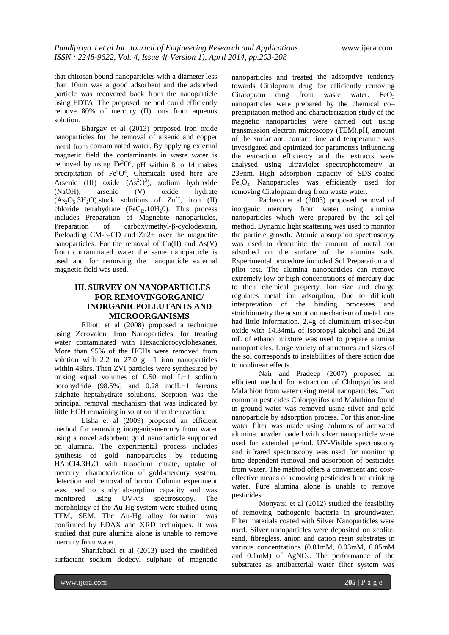that chitosan bound nanoparticles with a diameter less than 10nm was a good adsorbent and the adsorbed particle was recovered back from the nanoparticle using EDTA. The proposed method could efficiently remove 80% of mercury (II) ions from aqueous solution.

Bhargav et al (2013) proposed iron oxide nanoparticles for the removal of arsenic and copper metal from contaminated water. By applying external magnetic field the contaminants in waste water is removed by using  $Fe^{3}O^{4}$ . pH within 8 to 14 makes precipitation of  $Fe<sup>3</sup>O<sup>4</sup>$ . Chemicals used here are Arsenic (III) oxide  $(As<sup>2</sup>O<sup>3</sup>)$ , sodium hydroxide (NaOH), arsenic (V) oxide hydrate  $(As<sub>2</sub>O<sub>5</sub>.3H<sub>2</sub>O)$ , stock solutions of  $Zn^{2+}$ , iron (II) chloride tetrahydrate  $(FeC<sub>12</sub>.10H<sub>2</sub>0)$ . This process includes Preparation of Magnetite nanoparticles, Preparation of carboxymethyl-β-cyclodextrin, Preloading CM-β-CD and Zn2+ over the magnetite nanoparticles. For the removal of  $Cu(II)$  and  $As(V)$ from contaminated water the same nanoparticle is used and for removing the nanoparticle external magnetic field was used.

## **III. SURVEY ON NANOPARTICLES FOR REMOVINGORGANIC/ INORGANICPOLLUTANTS AND MICROORGANISMS**

Elliott et al (2008) proposed a technique using Zerovalent Iron Nanoparticles, for treating water contaminated with Hexachlorocyclohexanes. More than 95% of the HCHs were removed from solution with 2.2 to 27.0  $gL-1$  iron nanoparticles within 48hrs. Then ZVI particles were synthesized by mixing equal volumes of 0.50 mol L−1 sodium borohydride (98.5%) and 0.28 molL−1 ferrous sulphate heptahydrate solutions. Sorption was the principal removal mechanism that was indicated by little HCH remaining in solution after the reaction.

Lisha et al (2009) proposed an efficient method for removing inorganic-mercury from water using a novel adsorbent gold nanoparticle supported on alumina. The experimental process includes synthesis of gold nanoparticles by reducing HAuCl4.3H<sub>2</sub>O with trisodium citrate, uptake of mercury, characterization of gold-mercury system, detection and removal of boron. Column experiment was used to study absorption capacity and was monitored using UV-vis spectroscopy. The morphology of the Au-Hg system were studied using TEM, SEM. The Au-Hg alloy formation was confirmed by EDAX and XRD techniques. It was studied that pure alumina alone is unable to remove mercury from water.

Sharifabadi et al (2013) used the modified surfactant sodium dodecyl sulphate of magnetic nanoparticles and treated the adsorptive tendency towards Citalopram drug for efficiently removing Citalopram drug from waste water. Fe $O_3$ nanoparticles were prepared by the chemical co– precipitation method and characterization study of the magnetic nanoparticles were carried out using transmission electron microscopy (TEM).pH, amount of the surfactant, contact time and temperature was investigated and optimized for parameters influencing the extraction efficiency and the extracts were analysed using ultraviolet spectrophotometry at 239nm. High adsorption capacity of SDS–coated  $Fe<sub>3</sub>O<sub>4</sub>$  Nanoparticles was efficiently used for removing Citalopram drug from waste water.

Pacheco et al (2003) proposed removal of inorganic mercury from water using alumina nanoparticles which were prepared by the sol-gel method. Dynamic light scattering was used to monitor the particle growth. Atomic absorption spectroscopy was used to determine the amount of metal ion adsorbed on the surface of the alumina sols. Experimental procedure included Sol Preparation and pilot test. The alumina nanoparticles can remove extremely low or high concentrations of mercury due to their chemical property. Ion size and charge regulates metal ion adsorption; Due to difficult interpretation of the binding processes and stoichiometry the adsorption mechanism of metal ions had little information. 2.4g of aluminium tri-sec-but oxide with 14.34mL of isopropyl alcohol and 26.24 mL of ethanol mixture was used to prepare alumina nanoparticles. Large variety of structures and sizes of the sol corresponds to instabilities of there action due to nonlinear effects.

Nair and Pradeep (2007) proposed an efficient method for extraction of Chlorpyrifos and Malathion from water using metal nanoparticles. Two common pesticides Chlorpyrifos and Malathion found in ground water was removed using silver and gold nanoparticle by adsorption process. For this anon-line water filter was made using columns of activated alumina powder loaded with silver nanoparticle were used for extended period. UV-Visible spectroscopy and infrared spectroscopy was used for monitoring time dependent removal and adsorption of pesticides from water. The method offers a convenient and costeffective means of removing pesticides from drinking water. Pure alumina alone is unable to remove pesticides.

Monyatsi et al (2012) studied the feasibility of removing pathogenic bacteria in groundwater. Filter materials coated with Silver Nanoparticles were used. Silver nanoparticles were deposited on zeolite, sand, fibreglass, anion and cation resin substrates in various concentrations (0.01mM, 0.03mM, 0.05mM and  $0.1 \text{mM}$ ) of AgNO<sub>3</sub>. The performance of the substrates as antibacterial water filter system was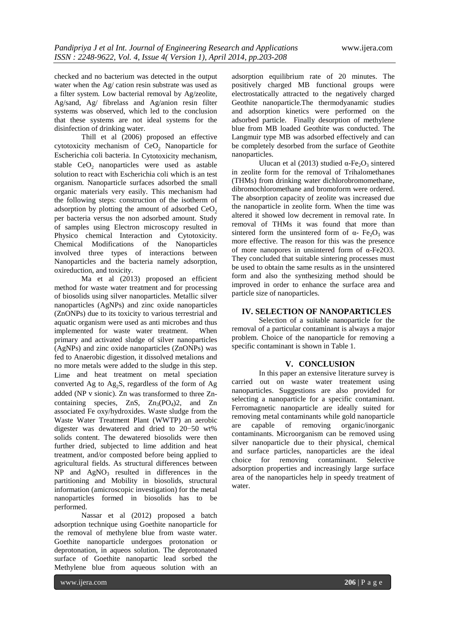checked and no bacterium was detected in the output water when the Ag/ cation resin substrate was used as a filter system. Low bacterial removal by Ag/zeolite, Ag/sand, Ag/ fibrelass and Ag/anion resin filter systems was observed, which led to the conclusion that these systems are not ideal systems for the disinfection of drinking water.

Thill et al (2006) proposed an effective cytotoxicity mechanism of CeO<sub>2</sub> Nanoparticle for Escherichia coli bacteria. In Cytotoxicity mechanism, stable  $CeO<sub>2</sub>$  nanoparticles were used as astable solution to react with Escherichia coli which is an test organism. Nanoparticle surfaces adsorbed the small organic materials very easily. This mechanism had the following steps: construction of the isotherm of adsorption by plotting the amount of adsorbed  $CeO<sub>2</sub>$ per bacteria versus the non adsorbed amount. Study of samples using Electron microscopy resulted in Physico chemical Interaction and Cytotoxicity. Chemical Modifications of the Nanoparticles involved three types of interactions between Nanoparticles and the bacteria namely adsorption, oxireduction, and toxicity.

Ma et al (2013) proposed an efficient method for waste water treatment and for processing of biosolids using silver nanoparticles. Metallic silver nanoparticles (AgNPs) and zinc oxide nanoparticles (ZnONPs) due to its toxicity to various terrestrial and aquatic organism were used as anti microbes and thus implemented for waste water treatment. When primary and activated sludge of silver nanoparticles (AgNPs) and zinc oxide nanoparticles (ZnONPs) was fed to Anaerobic digestion, it dissolved metalions and no more metals were added to the sludge in this step. Lime and heat treatment on metal speciation converted Ag to  $Ag_2S$ , regardless of the form of Ag added (NP v sionic). Zn was transformed to three Zncontaining species, ZnS,  $Zn_3(PO_4)2$ , and Zn associated Fe oxy/hydroxides. Waste sludge from the Waste Water Treatment Plant (WWTP) an aerobic digester was dewatered and dried to 20−50 wt% solids content. The dewatered biosolids were then further dried, subjected to lime addition and heat treatment, and/or composted before being applied to agricultural fields. As structural differences between  $NP$  and  $AgNO<sub>3</sub>$  resulted in differences in the partitioning and Mobility in biosolids, structural information (amicroscopic investigation) for the metal nanoparticles formed in biosolids has to be performed.

Nassar et al (2012) proposed a batch adsorption technique using Goethite nanoparticle for the removal of methylene blue from waste water. Goethite nanoparticle undergoes protonation or deprotonation, in aqueos solution. The deprotonated surface of Goethite nanopartic lead sorbed the Methylene blue from aqueous solution with an

adsorption equilibrium rate of 20 minutes. The positively charged MB functional groups were electrostatically attracted to the negatively charged Geothite nanoparticle.The thermodyanamic studies and adsorption kinetics were performed on the adsorbed particle. Finally desorption of methylene blue from MB loaded Geothite was conducted. The Langmuir type MB was adsorbed effectively and can be completely desorbed from the surface of Geothite nanoparticles.

Ulucan et al (2013) studied  $\alpha$ -Fe<sub>2</sub>O<sub>2</sub> sintered in zeolite form for the removal of Trihalomethanes (THMs) from drinking water dichlorobromomethane, dibromochloromethane and bromoform were ordered. The absorption capacity of zeolite was increased due the nanoparticle in zeolite form. When the time was altered it showed low decrement in removal rate. In removal of THMs it was found that more than sintered form the unsintered form of  $\alpha$ - Fe<sub>2</sub>O<sub>3</sub> was more effective. The reason for this was the presence of more nanopores in unsintered form of α-Fe2O3. They concluded that suitable sintering processes must be used to obtain the same results as in the unsintered form and also the synthesizing method should be improved in order to enhance the surface area and particle size of nanoparticles.

### **IV. SELECTION OF NANOPARTICLES**

Selection of a suitable nanoparticle for the removal of a particular contaminant is always a major problem. Choice of the nanoparticle for removing a specific contaminant is shown in Table 1.

#### **V. CONCLUSION**

In this paper an extensive literature survey is carried out on waste water treatement using nanoparticles. Suggestions are also provided for selecting a nanoparticle for a specific contaminant. Ferromagnetic nanoparticle are ideally suited for removing metal contaminants while gold nanoparticle are capable of removing organic/inorganic contaminants. Microorganism can be removed using silver nanoparticle due to their physical, chemical and surface particles, nanoparticles are the ideal choice for removing contaminant. Selective adsorption properties and increasingly large surface area of the nanoparticles help in speedy treatment of water.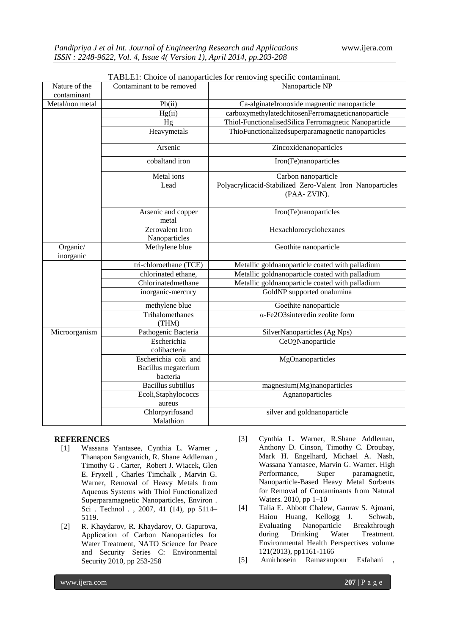| Nature of the         | Contaminant to be removed    | TADLET. CHOICE OF Hanoparticles for Temoving specific contaminant. |  |  |  |  |
|-----------------------|------------------------------|--------------------------------------------------------------------|--|--|--|--|
| contaminant           |                              | Nanoparticle NP                                                    |  |  |  |  |
| Metal/non metal       | Pb(ii)                       | Ca-alginateIronoxide magnentic nanoparticle                        |  |  |  |  |
|                       | Hg(ii)                       | carboxymethylatedchitosenFerromagneticnanoparticle                 |  |  |  |  |
|                       |                              |                                                                    |  |  |  |  |
|                       | Hg                           | Thiol-FunctionalisedSilica Ferromagnetic Nanoparticle              |  |  |  |  |
|                       | Heavymetals                  | ThioFunctionalizedsuperparamagnetic nanoparticles                  |  |  |  |  |
|                       | Arsenic                      | Zincoxidenanoparticles                                             |  |  |  |  |
|                       | cobaltand iron               | Iron(Fe)nanoparticles                                              |  |  |  |  |
|                       | Metal ions                   | Carbon nanoparticle                                                |  |  |  |  |
|                       | Lead                         | Polyacrylicacid-Stabilized Zero-Valent Iron Nanoparticles          |  |  |  |  |
|                       |                              | (PAA-ZVIN).                                                        |  |  |  |  |
|                       | Arsenic and copper<br>metal  | Iron(Fe)nanoparticles                                              |  |  |  |  |
|                       | Zerovalent Iron              | Hexachlorocyclohexanes                                             |  |  |  |  |
|                       | Nanoparticles                |                                                                    |  |  |  |  |
| Organic/<br>inorganic | Methylene blue               | Geothite nanoparticle                                              |  |  |  |  |
|                       | tri-chloroethane (TCE)       | Metallic goldnanoparticle coated with palladium                    |  |  |  |  |
|                       | chlorinated ethane,          | Metallic goldnanoparticle coated with palladium                    |  |  |  |  |
|                       | Chlorinatedmethane           | Metallic goldnanoparticle coated with palladium                    |  |  |  |  |
|                       | inorganic-mercury            | GoldNP supported onalumina                                         |  |  |  |  |
|                       | methylene blue               | Goethite nanoparticle                                              |  |  |  |  |
|                       | Trihalomethanes<br>(THM)     | $\alpha$ -Fe2O3sinteredin zeolite form                             |  |  |  |  |
| Microorganism         | Pathogenic Bacteria          | SilverNanoparticles (Ag Nps)                                       |  |  |  |  |
|                       | Escherichia                  | CeO <sub>2</sub> Nanoparticle                                      |  |  |  |  |
|                       | colibacteria                 |                                                                    |  |  |  |  |
|                       | Escherichia coli and         | MgOnanoparticles                                                   |  |  |  |  |
|                       | Bacillus megaterium          |                                                                    |  |  |  |  |
|                       | bacteria                     |                                                                    |  |  |  |  |
|                       | <b>Bacillus</b> subtillus    | magnesium(Mg)nanoparticles                                         |  |  |  |  |
|                       | Ecoli, Staphylococcs         | Agnanoparticles                                                    |  |  |  |  |
|                       | aureus                       |                                                                    |  |  |  |  |
|                       | Chlorpyrifosand<br>Malathion | silver and goldnanoparticle                                        |  |  |  |  |

| TABLE1: Choice of nanoparticles for removing specific contaminant. |  |  |  |
|--------------------------------------------------------------------|--|--|--|
|                                                                    |  |  |  |

## **REFERENCES**

- [1] Wassana [Yantasee,](http://pubs.acs.org/action/doSearch?action=search&author=Yantasee%2C%2BW&qsSearchArea=author) [Cynthia](http://pubs.acs.org/action/doSearch?action=search&author=Warner%2C%2BC%2BL&qsSearchArea=author) L. Warner , Thanapon [Sangvanich,](http://pubs.acs.org/action/doSearch?action=search&author=Sangvanich%2C%2BT&qsSearchArea=author) R. Shane [Addleman](http://pubs.acs.org/action/doSearch?action=search&author=Addleman%2C%2BR%2BS&qsSearchArea=author) , [Timothy](http://pubs.acs.org/action/doSearch?action=search&author=Carter%2C%2BT%2BG&qsSearchArea=author) G . Carter, Robert [J. Wiacek,](http://pubs.acs.org/action/doSearch?action=search&author=Wiacek%2C%2BR%2BJ&qsSearchArea=author) [Glen](http://pubs.acs.org/action/doSearch?action=search&author=Fryxell%2C%2BG%2BE&qsSearchArea=author) [E. Fryxell](http://pubs.acs.org/action/doSearch?action=search&author=Fryxell%2C%2BG%2BE&qsSearchArea=author) , [Charles Timchalk](http://pubs.acs.org/action/doSearch?action=search&author=Timchalk%2C%2BC&qsSearchArea=author) , [Marvin](http://pubs.acs.org/action/doSearch?action=search&author=Warner%2C%2BM%2BG&qsSearchArea=author) G. [Warner,](http://pubs.acs.org/action/doSearch?action=search&author=Warner%2C%2BM%2BG&qsSearchArea=author) Removal of Heavy Metals from Aqueous Systems with Thiol Functionalized Superparamagnetic Nanoparticles, Environ . Sci . Technol . , 2007, 41 (14), pp 5114– 5119.
- [2] R. [Khaydarov,](http://link.springer.com/search?facet-author=%22R.%2BKhaydarov%22) R. [Khaydarov,](http://link.springer.com/search?facet-author=%22R.%2BKhaydarov%22) O. [Gapurova,](http://link.springer.com/search?facet-author=%22O.%2BGapurova%22) Application of Carbon Nanoparticles for Water Treatment, [NATO](http://link.springer.com/bookseries/7108) Science [for Peace](http://link.springer.com/bookseries/7108)  and Security Series C: [Environmental](http://link.springer.com/bookseries/7108) [Security 2](http://link.springer.com/bookseries/7108)010, pp 253-258
- [3] Cynthia L. Warner, R.Shane Addleman, Anthony D. Cinson, Timothy C. Droubay, Mark H. Engelhard, Michael A. Nash, Wassana Yantasee, Marvin G. Warner. High Performance, Super paramagnetic, Nanoparticle-Based Heavy Metal Sorbents for Removal of Contaminants from Natural Waters. 2010, pp 1–10
- [4] Talia E. Abbott Chalew, Gaurav S. Ajmani, Haiou Huang, Kellogg J. Schwab, Evaluating Nanoparticle Breakthrough<br>during Drinking Water Treatment. Drinking Water Treatment. Environmental Health Perspectives volume 121(2013), pp1161-1166
- [5] Amirhosein Ramazanpour Esfahani